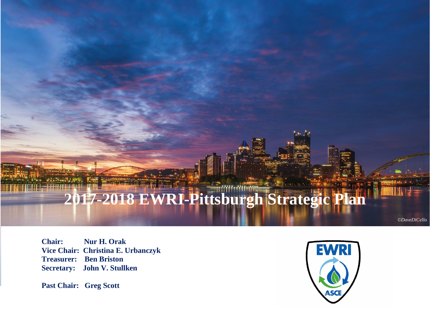# **2017-2018 EWRI-Pittsburgh Strategic Plan**

हैं तो ।

**Chair: Nur H. Orak Vice Chair: Christina E. Urbanczyk Treasurer: Ben Briston Secretary: John V. Stullken**

**Past Chair: Greg Scott**



*©DaveDiCello*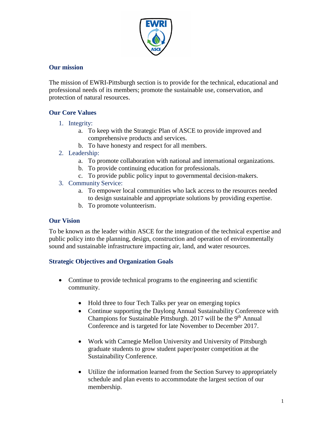

# **Our mission**

The mission of EWRI-Pittsburgh section is to provide for the technical, educational and professional needs of its members; promote the sustainable use, conservation, and protection of natural resources.

# **Our Core Values**

- 1. Integrity:
	- a. To keep with the Strategic Plan of ASCE to provide improved and comprehensive products and services.
	- b. To have honesty and respect for all members.
- 2. Leadership:
	- a. To promote collaboration with national and international organizations.
	- b. To provide continuing education for professionals.
	- c. To provide public policy input to governmental decision-makers.
- 3. Community Service:
	- a. To empower local communities who lack access to the resources needed to design sustainable and appropriate solutions by providing expertise.
	- b. To promote volunteerism.

### **Our Vision**

To be known as the leader within ASCE for the integration of the technical expertise and public policy into the planning, design, construction and operation of environmentally sound and sustainable infrastructure impacting air, land, and water resources.

### **Strategic Objectives and Organization Goals**

- Continue to provide technical programs to the engineering and scientific community.
	- Hold three to four Tech Talks per year on emerging topics
	- Continue supporting the Daylong Annual Sustainability Conference with Champions for Sustainable Pittsburgh. 2017 will be the  $9<sup>th</sup>$  Annual Conference and is targeted for late November to December 2017.
	- Work with Carnegie Mellon University and University of Pittsburgh graduate students to grow student paper/poster competition at the Sustainability Conference.
	- Utilize the information learned from the Section Survey to appropriately schedule and plan events to accommodate the largest section of our membership.